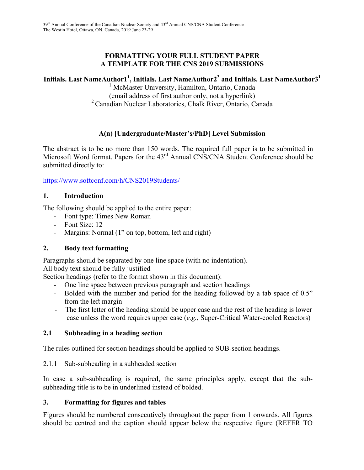### **FORMATTING YOUR FULL STUDENT PAPER A TEMPLATE FOR THE CNS 2019 SUBMISSIONS**

# **Initials. Last NameAuthor11 , Initials. Last NameAuthor22 and Initials. Last NameAuthor31**

<sup>1</sup> McMaster University, Hamilton, Ontario, Canada (email address of first author only, not a hyperlink) 2 Canadian Nuclear Laboratories, Chalk River, Ontario, Canada

# **A(n) [Undergraduate/Master's/PhD] Level Submission**

The abstract is to be no more than 150 words. The required full paper is to be submitted in Microsoft Word format. Papers for the 43<sup>rd</sup> Annual CNS/CNA Student Conference should be submitted directly to:

https://www.softconf.com/h/CNS2019Students/

#### **1. Introduction**

The following should be applied to the entire paper:

- Font type: Times New Roman
- Font Size: 12
- Margins: Normal (1" on top, bottom, left and right)

# **2. Body text formatting**

Paragraphs should be separated by one line space (with no indentation).

All body text should be fully justified

Section headings (refer to the format shown in this document):

- One line space between previous paragraph and section headings
- Bolded with the number and period for the heading followed by a tab space of 0.5" from the left margin
- The first letter of the heading should be upper case and the rest of the heading is lower case unless the word requires upper case (*e.g.*, Super-Critical Water-cooled Reactors)

#### **2.1 Subheading in a heading section**

The rules outlined for section headings should be applied to SUB-section headings.

#### 2.1.1 Sub-subheading in a subheaded section

In case a sub-subheading is required, the same principles apply, except that the subsubheading title is to be in underlined instead of bolded.

#### **3. Formatting for figures and tables**

Figures should be numbered consecutively throughout the paper from 1 onwards. All figures should be centred and the caption should appear below the respective figure (REFER TO